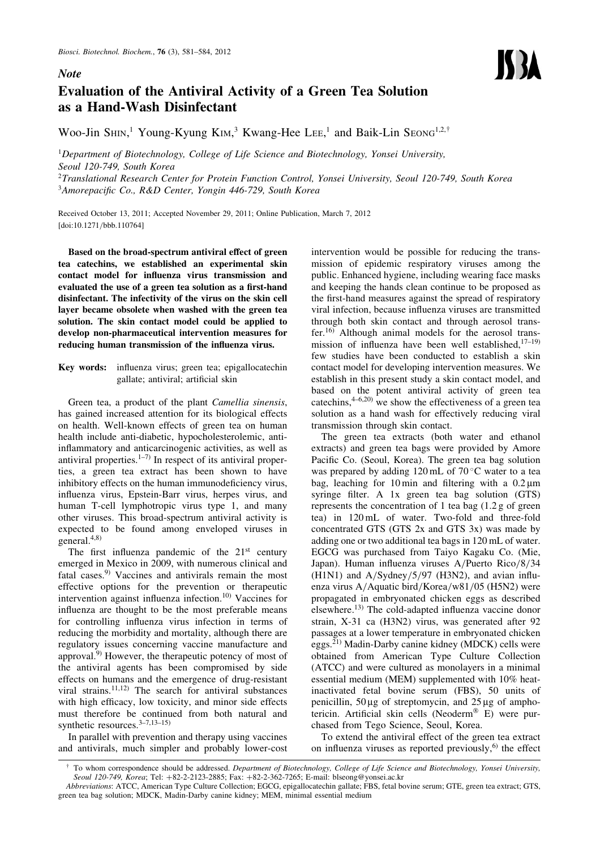## **Note**

## Evaluation of the Antiviral Activity of a Green Tea Solution as a Hand-Wash Disinfectant

Woo-Jin S $\text{HIN}$ ,<sup>1</sup> Young-Kyung KIM,<sup>3</sup> Kwang-Hee LEE,<sup>1</sup> and Baik-Lin SEONG<sup>1,2,†</sup>

<sup>1</sup>Department of Biotechnology, College of Life Science and Biotechnology, Yonsei University, Seoul 120-749, South Korea

<sup>2</sup>Translational Research Center for Protein Function Control, Yonsei University, Seoul 120-749, South Korea <sup>3</sup> Amorepacific Co., R&D Center, Yongin 446-729, South Korea

Received October 13, 2011; Accepted November 29, 2011; Online Publication, March 7, 2012 [\[doi:10.1271/bbb.110764\]](http://dx.doi.org/10.1271/bbb.110764)

Based on the broad-spectrum antiviral effect of green tea catechins, we established an experimental skin contact model for influenza virus transmission and evaluated the use of a green tea solution as a first-hand disinfectant. The infectivity of the virus on the skin cell layer became obsolete when washed with the green tea solution. The skin contact model could be applied to develop non-pharmaceutical intervention measures for reducing human transmission of the influenza virus.

Key words: influenza virus; green tea; epigallocatechin gallate; antiviral; artificial skin

Green tea, a product of the plant Camellia sinensis, has gained increased attention for its biological effects on health. Well-known effects of green tea on human health include anti-diabetic, hypocholesterolemic, antiinflammatory and anticarcinogenic activities, as well as antiviral properties. $1-7$ ) In respect of its antiviral properties, a green tea extract has been shown to have inhibitory effects on the human immunodeficiency virus, influenza virus, Epstein-Barr virus, herpes virus, and human T-cell lymphotropic virus type 1, and many other viruses. This broad-spectrum antiviral activity is expected to be found among enveloped viruses in general.4,8)

The first influenza pandemic of the  $21<sup>st</sup>$  century emerged in Mexico in 2009, with numerous clinical and fatal cases.9) Vaccines and antivirals remain the most effective options for the prevention or therapeutic intervention against influenza infection.10) Vaccines for influenza are thought to be the most preferable means for controlling influenza virus infection in terms of reducing the morbidity and mortality, although there are regulatory issues concerning vaccine manufacture and approval.9) However, the therapeutic potency of most of the antiviral agents has been compromised by side effects on humans and the emergence of drug-resistant viral strains. $11,12$ ) The search for antiviral substances with high efficacy, low toxicity, and minor side effects must therefore be continued from both natural and synthetic resources.<sup>3-7,13-15)</sup>

In parallel with prevention and therapy using vaccines and antivirals, much simpler and probably lower-cost intervention would be possible for reducing the transmission of epidemic respiratory viruses among the public. Enhanced hygiene, including wearing face masks and keeping the hands clean continue to be proposed as the first-hand measures against the spread of respiratory viral infection, because influenza viruses are transmitted through both skin contact and through aerosol transfer.16) Although animal models for the aerosol transmission of influenza have been well established, $17-19$ ) few studies have been conducted to establish a skin contact model for developing intervention measures. We establish in this present study a skin contact model, and based on the potent antiviral activity of green tea catechins,  $4-6,20$  we show the effectiveness of a green tea solution as a hand wash for effectively reducing viral transmission through skin contact.

The green tea extracts (both water and ethanol extracts) and green tea bags were provided by Amore Pacific Co. (Seoul, Korea). The green tea bag solution was prepared by adding  $120 \text{ mL}$  of  $70 \degree \text{C}$  water to a tea bag, leaching for 10 min and filtering with a  $0.2 \mu m$ syringe filter. A 1x green tea bag solution (GTS) represents the concentration of 1 tea bag (1.2 g of green tea) in 120 mL of water. Two-fold and three-fold concentrated GTS (GTS 2x and GTS 3x) was made by adding one or two additional tea bags in 120 mL of water. EGCG was purchased from Taiyo Kagaku Co. (Mie, Japan). Human influenza viruses A/Puerto Rico/8/34 (H1N1) and A/Sydney/5/97 (H3N2), and avian influenza virus A/Aquatic bird/Korea/w81/05 (H5N2) were propagated in embryonated chicken eggs as described elsewhere.13) The cold-adapted influenza vaccine donor strain, X-31 ca (H3N2) virus, was generated after 92 passages at a lower temperature in embryonated chicken eggs.21) Madin-Darby canine kidney (MDCK) cells were obtained from American Type Culture Collection (ATCC) and were cultured as monolayers in a minimal essential medium (MEM) supplemented with 10% heatinactivated fetal bovine serum (FBS), 50 units of penicillin,  $50 \mu$ g of streptomycin, and  $25 \mu$ g of amphotericin. Artificial skin cells (Neoderm<sup>®</sup> E) were purchased from Tego Science, Seoul, Korea.

To extend the antiviral effect of the green tea extract on influenza viruses as reported previously, $6$  the effect

To whom correspondence should be addressed. Department of Biotechnology, College of Life Science and Biotechnology, Yonsei University, Seoul 120-749, Korea; Tel: +82-2-2123-2885; Fax: +82-2-362-7265; E-mail: blseong@yonsei.ac.kr

Abbreviations: ATCC, American Type Culture Collection; EGCG, epigallocatechin gallate; FBS, fetal bovine serum; GTE, green tea extract; GTS, green tea bag solution; MDCK, Madin-Darby canine kidney; MEM, minimal essential medium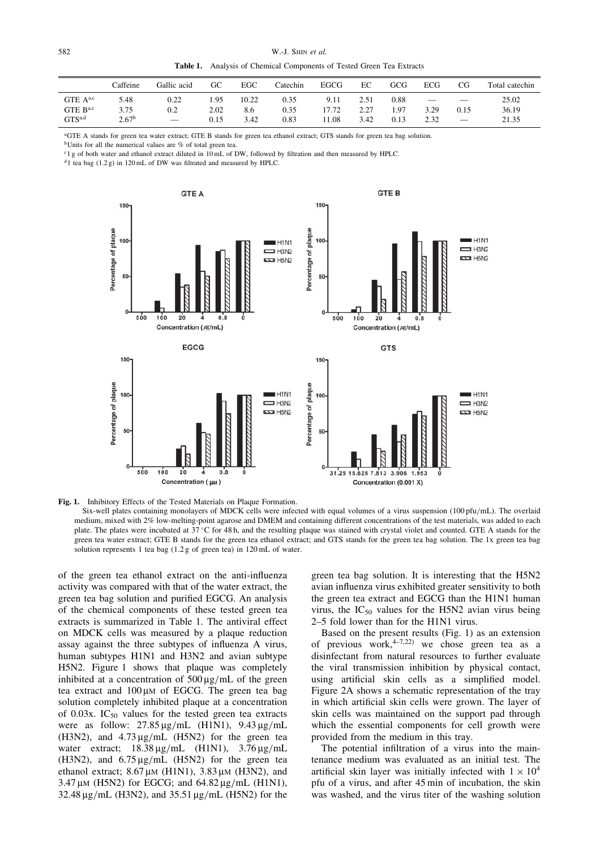Table 1. Analysis of Chemical Components of Tested Green Tea Extracts

|                                                      | Caffeine                          | Gallic acid                             | GС                   | EGC                  | Catechin             | <b>EGCG</b>            | EC                   | GCG                  | ECG          | CG   | Total catechin          |
|------------------------------------------------------|-----------------------------------|-----------------------------------------|----------------------|----------------------|----------------------|------------------------|----------------------|----------------------|--------------|------|-------------------------|
| $GTE A^{a,c}$<br>GTE $B^{a,c}$<br>GTS <sup>a,d</sup> | 5.48<br>3.75<br>2.67 <sup>b</sup> | 0.22<br>0.2<br>$\overline{\phantom{m}}$ | 1.95<br>2.02<br>0.15 | 10.22<br>8.6<br>3.42 | 0.35<br>0.35<br>0.83 | 9.11<br>17.72<br>11.08 | 2.51<br>2.27<br>3.42 | 0.88<br>. 97<br>0.13 | 3.29<br>2.32 | 0.15 | 25.02<br>36.19<br>21.35 |

<sup>a</sup>GTE A stands for green tea water extract; GTE B stands for green tea ethanol extract; GTS stands for green tea bag solution.

<sup>b</sup>Units for all the numerical values are % of total green tea.

<sup>c</sup>1 g of both water and ethanol extract diluted in 10 mL of DW, followed by filtration and then measured by HPLC.

 $d_1$  tea bag (1.2 g) in 120 mL of DW was filtrated and measured by HPLC.



Fig. 1. Inhibitory Effects of the Tested Materials on Plaque Formation.

Six-well plates containing monolayers of MDCK cells were infected with equal volumes of a virus suspension (100 pfu/mL). The overlaid medium, mixed with 2% low-melting-point agarose and DMEM and containing different concentrations of the test materials, was added to each plate. The plates were incubated at 37 °C for 48 h, and the resulting plaque was stained with crystal violet and counted. GTE A stands for the green tea water extract; GTE B stands for the green tea ethanol extract; and GTS stands for the green tea bag solution. The 1x green tea bag solution represents 1 tea bag (1.2 g of green tea) in 120 mL of water.

of the green tea ethanol extract on the anti-influenza activity was compared with that of the water extract, the green tea bag solution and purified EGCG. An analysis of the chemical components of these tested green tea extracts is summarized in Table 1. The antiviral effect on MDCK cells was measured by a plaque reduction assay against the three subtypes of influenza A virus, human subtypes H1N1 and H3N2 and avian subtype H5N2. Figure 1 shows that plaque was completely inhibited at a concentration of  $500 \mu g/mL$  of the green tea extract and  $100 \mu$ M of EGCG. The green tea bag solution completely inhibited plaque at a concentration of 0.03x.  $IC_{50}$  values for the tested green tea extracts were as follow:  $27.85 \mu g/mL$  (H1N1),  $9.43 \mu g/mL$ (H3N2), and  $4.73 \mu$ g/mL (H5N2) for the green tea water extract;  $18.38 \mu g/mL$  (H1N1),  $3.76 \mu g/mL$ (H3N2), and  $6.75 \mu g/mL$  (H5N2) for the green tea ethanol extract;  $8.67 \mu M$  (H1N1),  $3.83 \mu M$  (H3N2), and  $3.47 \mu$ M (H5N2) for EGCG; and  $64.82 \mu$ g/mL (H1N1),  $32.48 \,\mu$ g/mL (H3N2), and  $35.51 \,\mu$ g/mL (H5N2) for the

green tea bag solution. It is interesting that the H5N2 avian influenza virus exhibited greater sensitivity to both the green tea extract and EGCG than the H1N1 human virus, the  $IC_{50}$  values for the H5N2 avian virus being 2–5 fold lower than for the H1N1 virus.

Based on the present results (Fig. 1) as an extension of previous work,  $4-7,22$  we chose green tea as a disinfectant from natural resources to further evaluate the viral transmission inhibition by physical contact, using artificial skin cells as a simplified model. Figure 2A shows a schematic representation of the tray in which artificial skin cells were grown. The layer of skin cells was maintained on the support pad through which the essential components for cell growth were provided from the medium in this tray.

The potential infiltration of a virus into the maintenance medium was evaluated as an initial test. The artificial skin layer was initially infected with  $1 \times 10^4$ pfu of a virus, and after 45 min of incubation, the skin was washed, and the virus titer of the washing solution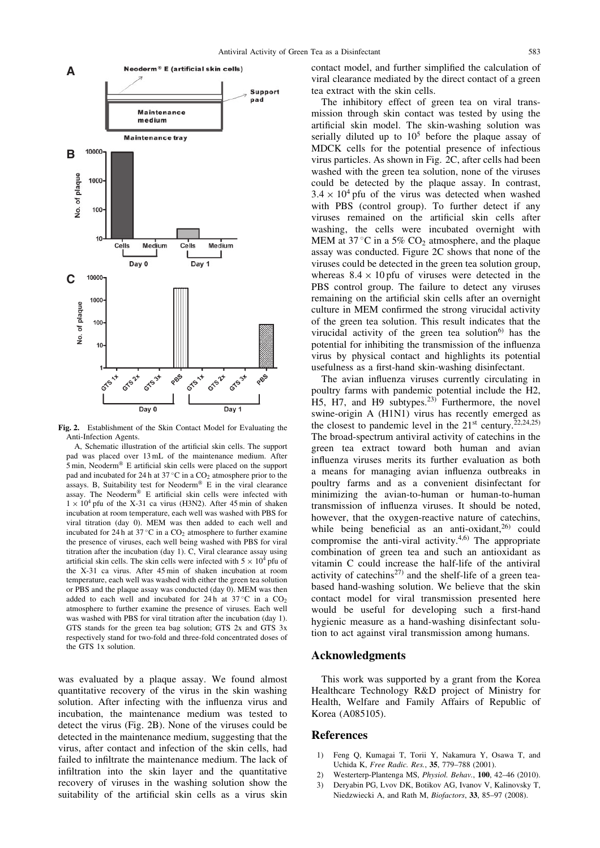

Fig. 2. Establishment of the Skin Contact Model for Evaluating the Anti-Infection Agents.

A, Schematic illustration of the artificial skin cells. The support pad was placed over 13 mL of the maintenance medium. After  $5$  min, Neoderm<sup>®</sup> E artificial skin cells were placed on the support pad and incubated for 24 h at 37 °C in a  $CO<sub>2</sub>$  atmosphere prior to the assays. B, Suitability test for Neoderm® E in the viral clearance assay. The Neoderm<sup>®</sup> E artificial skin cells were infected with  $1 \times 10^4$  pfu of the X-31 ca virus (H3N2). After 45 min of shaken incubation at room temperature, each well was washed with PBS for viral titration (day 0). MEM was then added to each well and incubated for 24 h at  $37^{\circ}$ C in a  $CO_2$  atmosphere to further examine the presence of viruses, each well being washed with PBS for viral titration after the incubation (day 1). C, Viral clearance assay using artificial skin cells. The skin cells were infected with  $5 \times 10^4$  pfu of the X-31 ca virus. After 45 min of shaken incubation at room temperature, each well was washed with either the green tea solution or PBS and the plaque assay was conducted (day 0). MEM was then added to each well and incubated for 24 h at  $37^{\circ}$ C in a  $CO<sub>2</sub>$ atmosphere to further examine the presence of viruses. Each well was washed with PBS for viral titration after the incubation (day 1). GTS stands for the green tea bag solution; GTS 2x and GTS 3x respectively stand for two-fold and three-fold concentrated doses of the GTS 1x solution.

was evaluated by a plaque assay. We found almost quantitative recovery of the virus in the skin washing solution. After infecting with the influenza virus and incubation, the maintenance medium was tested to detect the virus (Fig. 2B). None of the viruses could be detected in the maintenance medium, suggesting that the virus, after contact and infection of the skin cells, had failed to infiltrate the maintenance medium. The lack of infiltration into the skin layer and the quantitative recovery of viruses in the washing solution show the suitability of the artificial skin cells as a virus skin contact model, and further simplified the calculation of viral clearance mediated by the direct contact of a green tea extract with the skin cells.

The inhibitory effect of green tea on viral transmission through skin contact was tested by using the artificial skin model. The skin-washing solution was serially diluted up to  $10^5$  before the plaque assay of MDCK cells for the potential presence of infectious virus particles. As shown in Fig. 2C, after cells had been washed with the green tea solution, none of the viruses could be detected by the plaque assay. In contrast,  $3.4 \times 10^4$  pfu of the virus was detected when washed with PBS (control group). To further detect if any viruses remained on the artificial skin cells after washing, the cells were incubated overnight with MEM at  $37^{\circ}$ C in a  $5\%$  CO<sub>2</sub> atmosphere, and the plaque assay was conducted. Figure 2C shows that none of the viruses could be detected in the green tea solution group, whereas  $8.4 \times 10$  pfu of viruses were detected in the PBS control group. The failure to detect any viruses remaining on the artificial skin cells after an overnight culture in MEM confirmed the strong virucidal activity of the green tea solution. This result indicates that the virucidal activity of the green tea solution $6$  has the potential for inhibiting the transmission of the influenza virus by physical contact and highlights its potential usefulness as a first-hand skin-washing disinfectant.

The avian influenza viruses currently circulating in poultry farms with pandemic potential include the H2, H5, H7, and H9 subtypes. $23$  Furthermore, the novel swine-origin A (H1N1) virus has recently emerged as the closest to pandemic level in the  $21<sup>st</sup>$  century.<sup>22,24,25)</sup> The broad-spectrum antiviral activity of catechins in the green tea extract toward both human and avian influenza viruses merits its further evaluation as both a means for managing avian influenza outbreaks in poultry farms and as a convenient disinfectant for minimizing the avian-to-human or human-to-human transmission of influenza viruses. It should be noted, however, that the oxygen-reactive nature of catechins, while being beneficial as an anti-oxidant, $26$  could compromise the anti-viral activity. $4,6$  The appropriate combination of green tea and such an antioxidant as vitamin C could increase the half-life of the antiviral activity of catechins<sup>27)</sup> and the shelf-life of a green teabased hand-washing solution. We believe that the skin contact model for viral transmission presented here would be useful for developing such a first-hand hygienic measure as a hand-washing disinfectant solution to act against viral transmission among humans.

## Acknowledgments

This work was supported by a grant from the Korea Healthcare Technology R&D project of Ministry for Health, Welfare and Family Affairs of Republic of Korea (A085105).

## **References**

- 1) Feng Q, Kumagai T, Torii Y, Nakamura Y, Osawa T, and Uchida K, Free Radic. Res., 35, 779–788 (2001).
- 2) Westerterp-Plantenga MS, Physiol. Behav., 100, 42–46 (2010).
- 3) Deryabin PG, Lvov DK, Botikov AG, Ivanov V, Kalinovsky T, Niedzwiecki A, and Rath M, Biofactors, 33, 85–97 (2008).